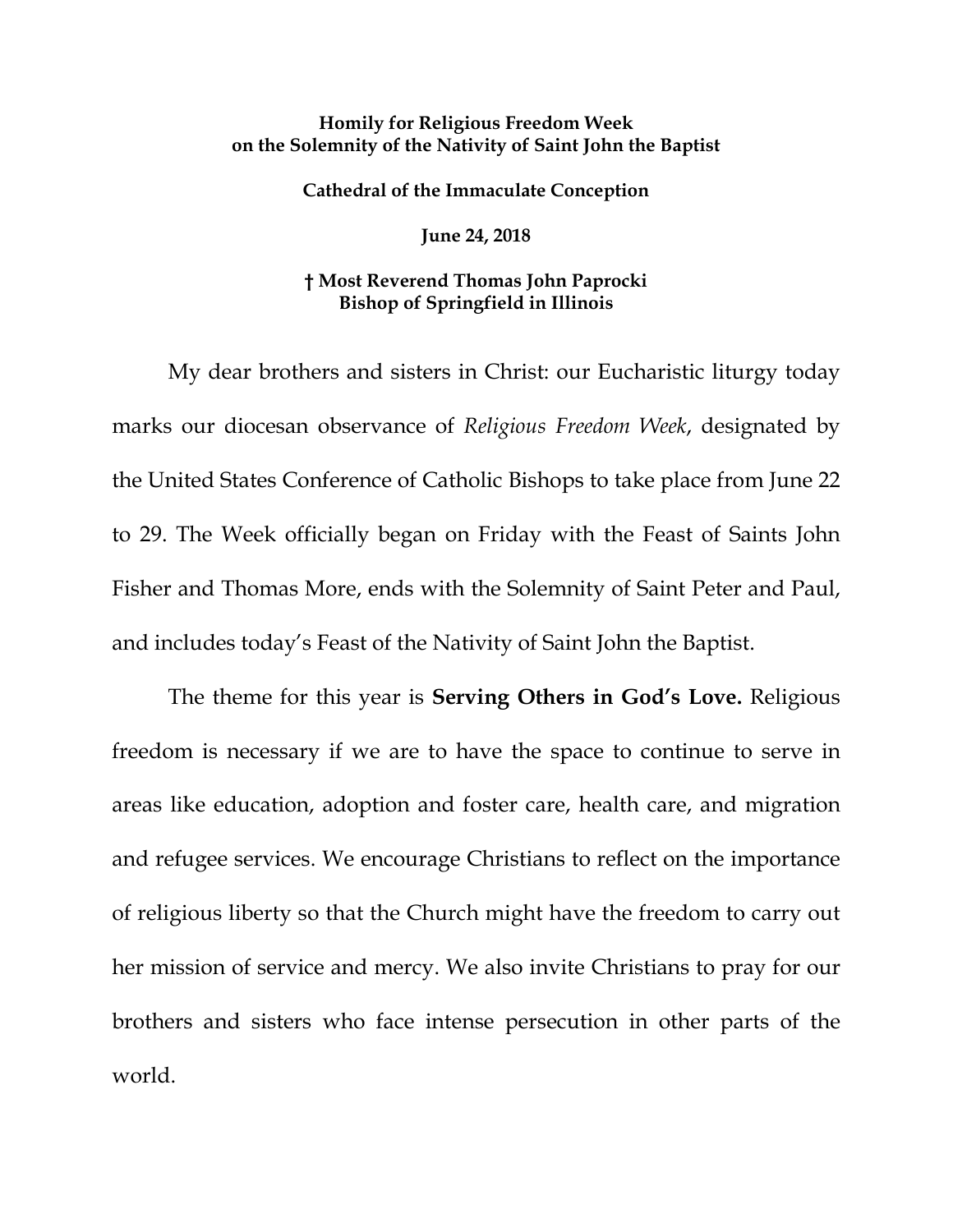## **Homily for Religious Freedom Week on the Solemnity of the Nativity of Saint John the Baptist**

## **Cathedral of the Immaculate Conception**

**June 24, 2018**

## **† Most Reverend Thomas John Paprocki Bishop of Springfield in Illinois**

My dear brothers and sisters in Christ: our Eucharistic liturgy today marks our diocesan observance of *Religious Freedom Week*, designated by the United States Conference of Catholic Bishops to take place from June 22 to 29. The Week officially began on Friday with the Feast of Saints John Fisher and Thomas More, ends with the Solemnity of Saint Peter and Paul, and includes today's Feast of the Nativity of Saint John the Baptist.

The theme for this year is **Serving Others in God's Love.** Religious freedom is necessary if we are to have the space to continue to serve in areas like education, adoption and foster care, health care, and migration and refugee services. We encourage Christians to reflect on the importance of religious liberty so that the Church might have the freedom to carry out her mission of service and mercy. We also invite Christians to pray for our brothers and sisters who face intense persecution in other parts of the world.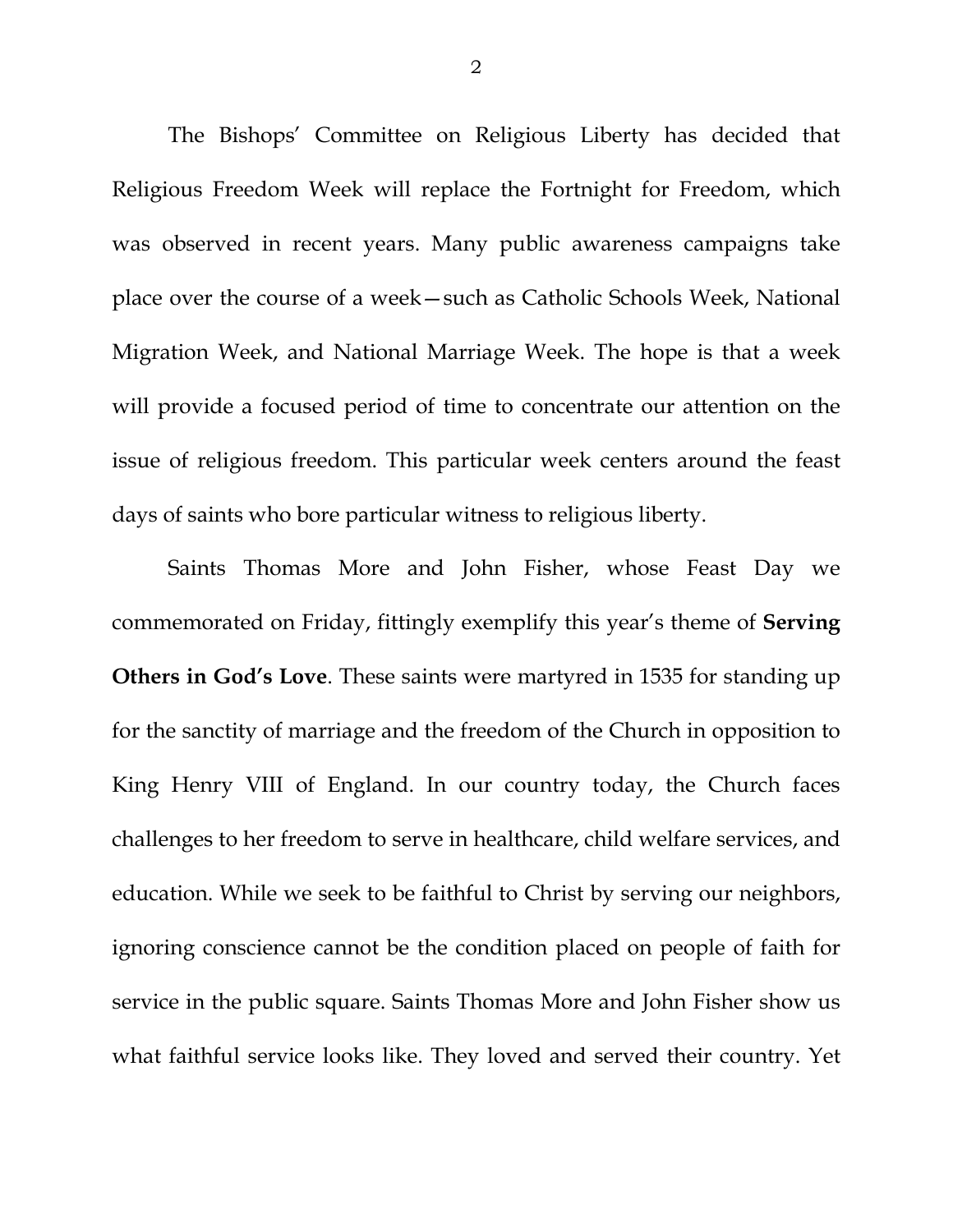The Bishops' Committee on Religious Liberty has decided that Religious Freedom Week will replace the Fortnight for Freedom, which was observed in recent years. Many public awareness campaigns take place over the course of a week—such as Catholic Schools Week, National Migration Week, and National Marriage Week. The hope is that a week will provide a focused period of time to concentrate our attention on the issue of religious freedom. This particular week centers around the feast days of saints who bore particular witness to religious liberty.

Saints Thomas More and John Fisher, whose Feast Day we commemorated on Friday, fittingly exemplify this year's theme of **Serving Others in God's Love**. These saints were martyred in 1535 for standing up for the sanctity of marriage and the freedom of the Church in opposition to King Henry VIII of England. In our country today, the Church faces challenges to her freedom to serve in healthcare, child welfare services, and education. While we seek to be faithful to Christ by serving our neighbors, ignoring conscience cannot be the condition placed on people of faith for service in the public square. Saints Thomas More and John Fisher show us what faithful service looks like. They loved and served their country. Yet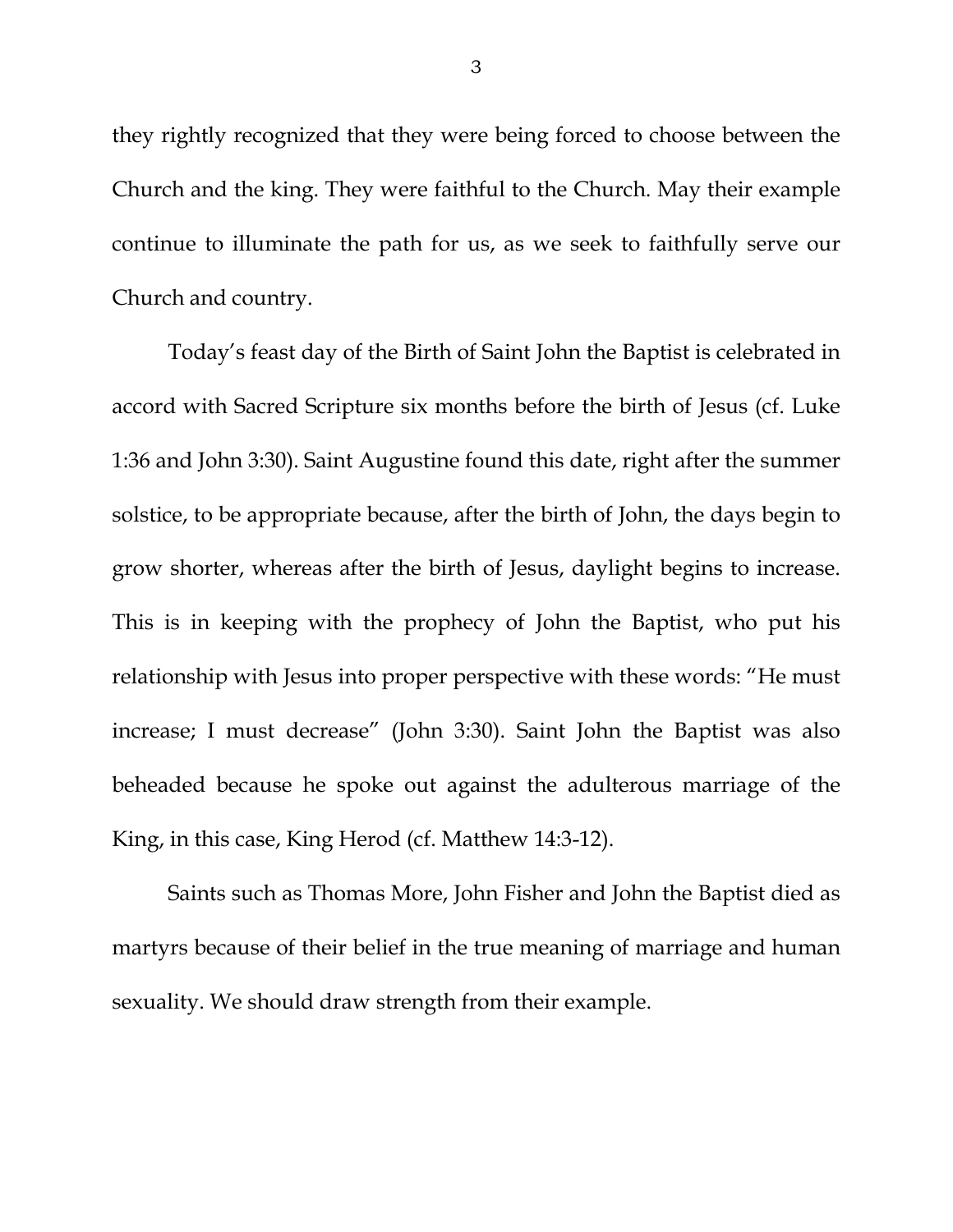they rightly recognized that they were being forced to choose between the Church and the king. They were faithful to the Church. May their example continue to illuminate the path for us, as we seek to faithfully serve our Church and country.

Today's feast day of the Birth of Saint John the Baptist is celebrated in accord with Sacred Scripture six months before the birth of Jesus (cf. Luke 1:36 and John 3:30). Saint Augustine found this date, right after the summer solstice, to be appropriate because, after the birth of John, the days begin to grow shorter, whereas after the birth of Jesus, daylight begins to increase. This is in keeping with the prophecy of John the Baptist, who put his relationship with Jesus into proper perspective with these words: "He must increase; I must decrease" (John 3:30). Saint John the Baptist was also beheaded because he spoke out against the adulterous marriage of the King, in this case, King Herod (cf. Matthew 14:3-12).

Saints such as Thomas More, John Fisher and John the Baptist died as martyrs because of their belief in the true meaning of marriage and human sexuality. We should draw strength from their example.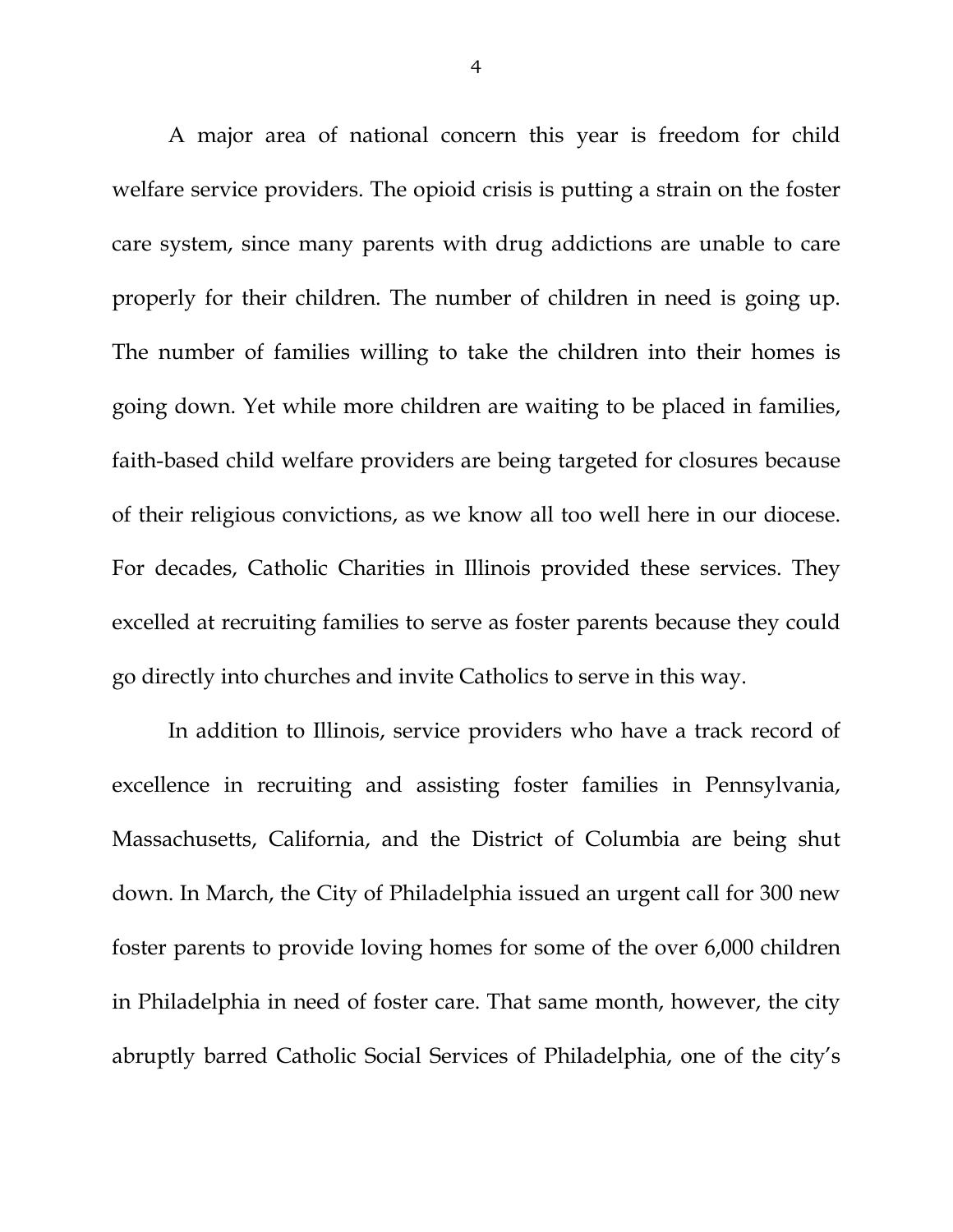A major area of national concern this year is freedom for child welfare service providers. The opioid crisis is putting a strain on the foster care system, since many parents with drug addictions are unable to care properly for their children. The number of children in need is going up. The number of families willing to take the children into their homes is going down. Yet while more children are waiting to be placed in families, faith-based child welfare providers are being targeted for closures because of their religious convictions, as we know all too well here in our diocese. For decades, Catholic Charities in Illinois provided these services. They excelled at recruiting families to serve as foster parents because they could go directly into churches and invite Catholics to serve in this way.

In addition to Illinois, service providers who have a track record of excellence in recruiting and assisting foster families in Pennsylvania, Massachusetts, California, and the District of Columbia are being shut down. In March, the City of Philadelphia issued an urgent call for 300 new foster parents to provide loving homes for some of the over 6,000 children in Philadelphia in need of foster care. That same month, however, the city abruptly barred Catholic Social Services of Philadelphia, one of the city's

4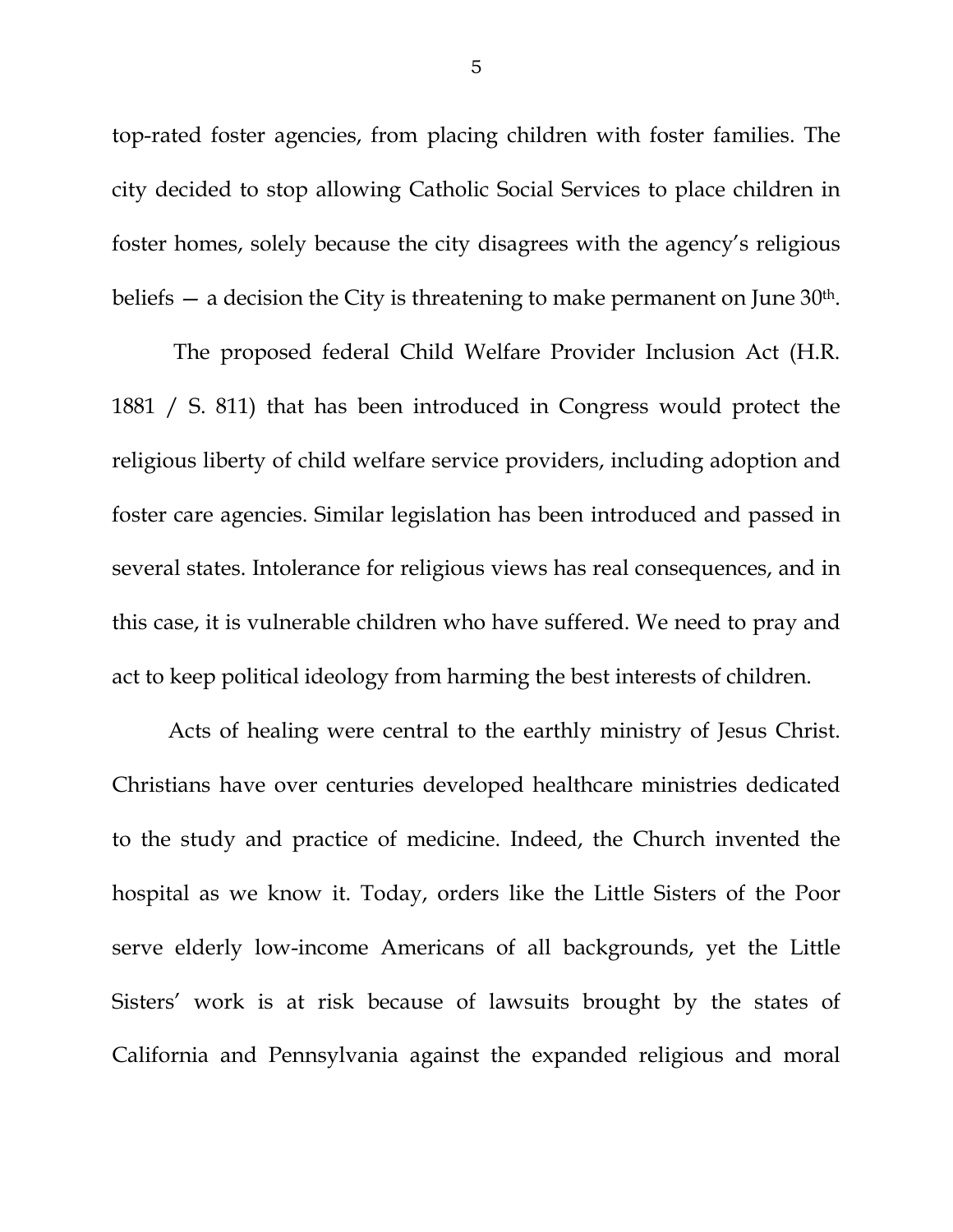top-rated foster agencies, from placing children with foster families. The city decided to stop allowing Catholic Social Services to place children in foster homes, solely because the city disagrees with the agency's religious beliefs  $-$  a decision the City is threatening to make permanent on June  $30<sup>th</sup>$ .

The proposed federal Child Welfare Provider Inclusion Act (H.R. 1881 / S. 811) that has been introduced in Congress would protect the religious liberty of child welfare service providers, including adoption and foster care agencies. Similar legislation has been introduced and passed in several states. Intolerance for religious views has real consequences, and in this case, it is vulnerable children who have suffered. We need to pray and act to keep political ideology from harming the best interests of children.

Acts of healing were central to the earthly ministry of Jesus Christ. Christians have over centuries developed healthcare ministries dedicated to the study and practice of medicine. Indeed, the Church invented the hospital as we know it. Today, orders like the Little Sisters of the Poor serve elderly low-income Americans of all backgrounds, yet the Little Sisters' work is at risk because of lawsuits brought by the states of California and Pennsylvania against the expanded religious and moral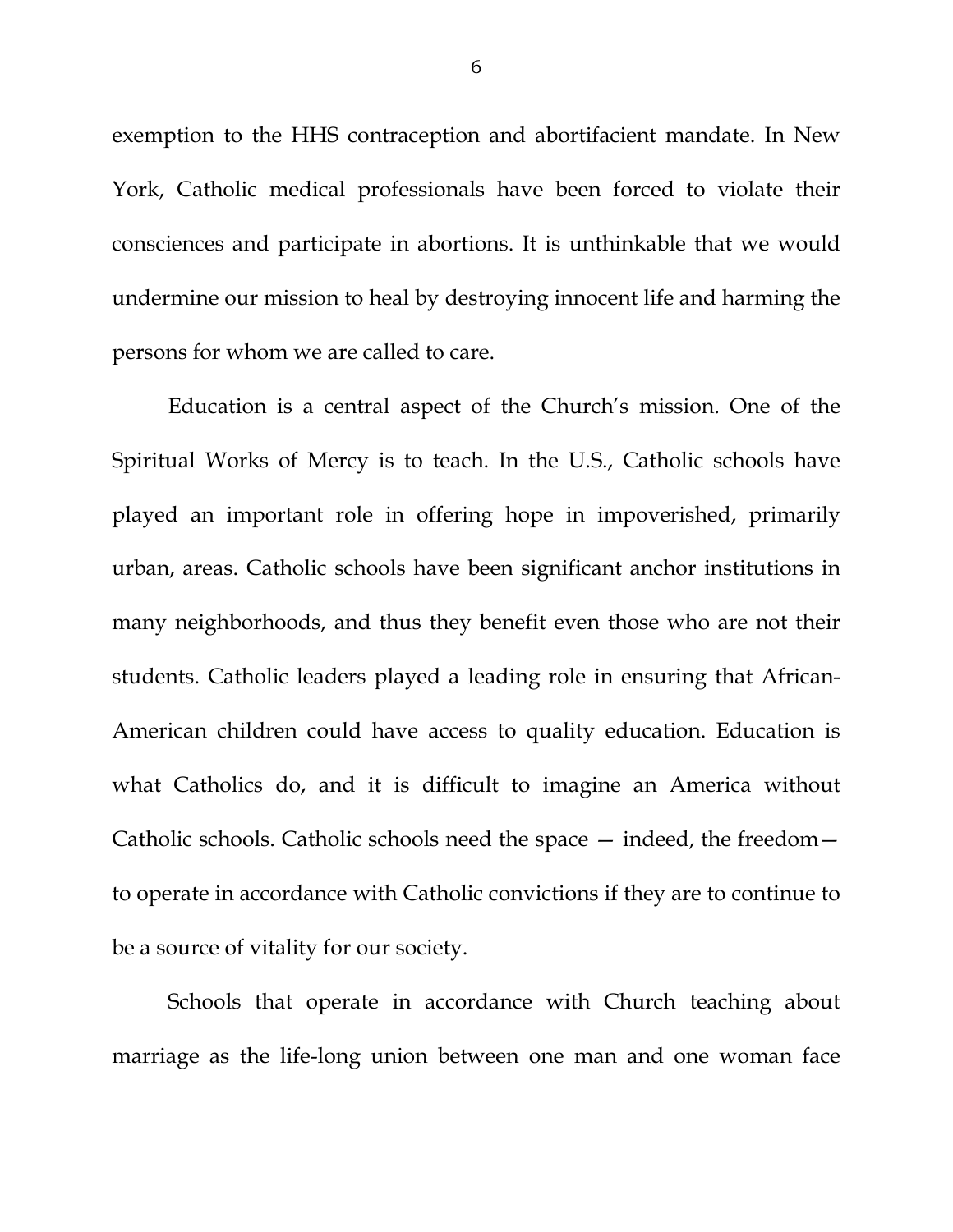exemption to the HHS contraception and abortifacient mandate. In New York, Catholic medical professionals have been forced to violate their consciences and participate in abortions. It is unthinkable that we would undermine our mission to heal by destroying innocent life and harming the persons for whom we are called to care.

Education is a central aspect of the Church's mission. One of the Spiritual Works of Mercy is to teach. In the U.S., Catholic schools have played an important role in offering hope in impoverished, primarily urban, areas. Catholic schools have been significant anchor institutions in many neighborhoods, and thus they benefit even those who are not their students. Catholic leaders played a leading role in ensuring that African-American children could have access to quality education. Education is what Catholics do, and it is difficult to imagine an America without Catholic schools. Catholic schools need the space — indeed, the freedom to operate in accordance with Catholic convictions if they are to continue to be a source of vitality for our society.

Schools that operate in accordance with Church teaching about marriage as the life-long union between one man and one woman face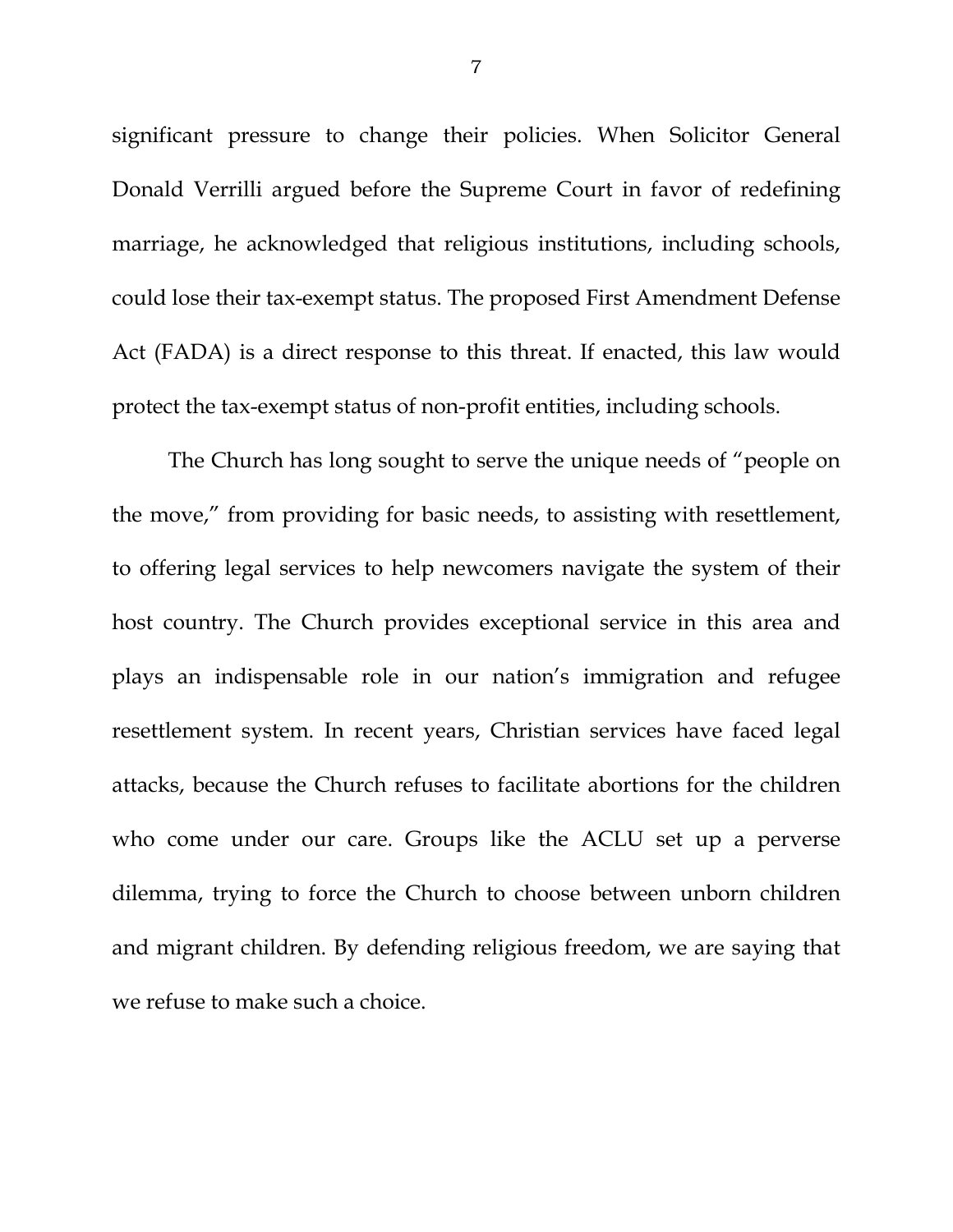significant pressure to change their policies. When Solicitor General Donald Verrilli argued before the Supreme Court in favor of redefining marriage, he acknowledged that religious institutions, including schools, could lose their tax-exempt status. The proposed First Amendment Defense Act (FADA) is a direct response to this threat. If enacted, this law would protect the tax-exempt status of non-profit entities, including schools.

The Church has long sought to serve the unique needs of "people on the move," from providing for basic needs, to assisting with resettlement, to offering legal services to help newcomers navigate the system of their host country. The Church provides exceptional service in this area and plays an indispensable role in our nation's immigration and refugee resettlement system. In recent years, Christian services have faced legal attacks, because the Church refuses to facilitate abortions for the children who come under our care. Groups like the ACLU set up a perverse dilemma, trying to force the Church to choose between unborn children and migrant children. By defending religious freedom, we are saying that we refuse to make such a choice.